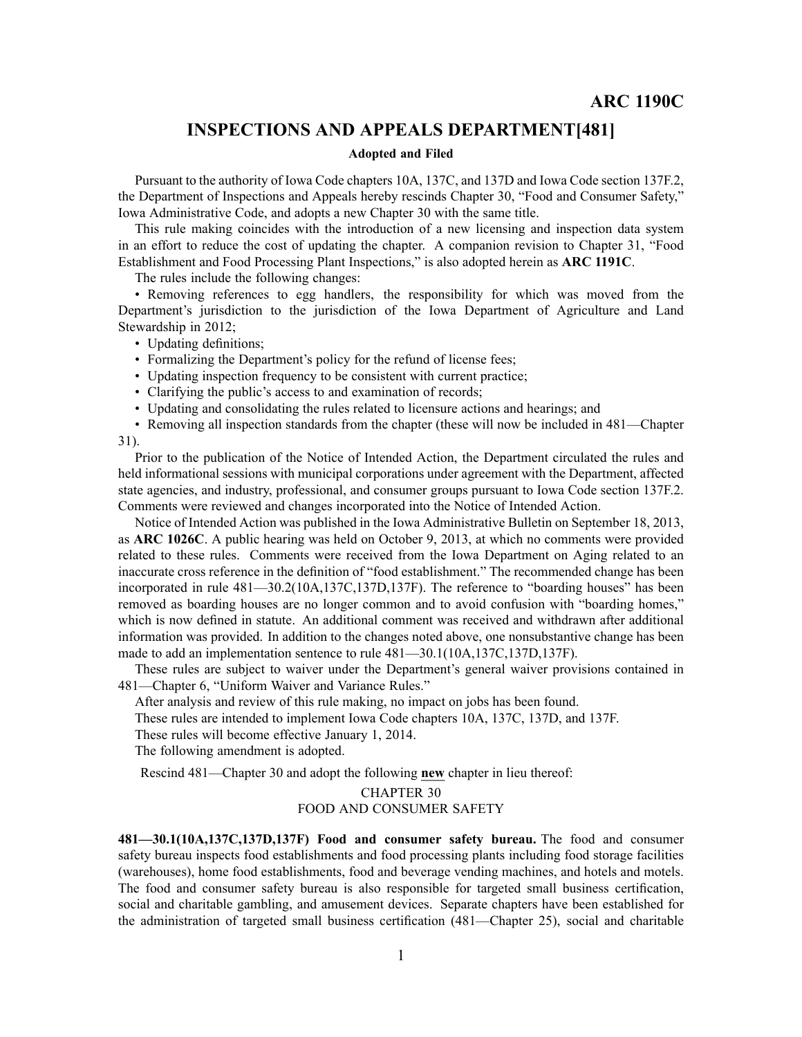# **INSPECTIONS AND APPEALS DEPARTMENT[481]**

### **Adopted and Filed**

Pursuant to the authority of Iowa Code chapters 10A, 137C, and 137D and Iowa Code section 137F.2, the Department of Inspections and Appeals hereby rescinds Chapter 30, "Food and Consumer Safety," Iowa Administrative Code, and adopts <sup>a</sup> new Chapter 30 with the same title.

This rule making coincides with the introduction of <sup>a</sup> new licensing and inspection data system in an effort to reduce the cost of updating the chapter. A companion revision to Chapter 31, "Food Establishment and Food Processing Plant Inspections," is also adopted herein as **ARC 1191C**.

The rules include the following changes:

• Removing references to egg handlers, the responsibility for which was moved from the Department's jurisdiction to the jurisdiction of the Iowa Department of Agriculture and Land Stewardship in 2012;

• Updating definitions;

- Formalizing the Department's policy for the refund of license fees;
- Updating inspection frequency to be consistent with current practice;
- Clarifying the public's access to and examination of records;
- Updating and consolidating the rules related to licensure actions and hearings; and
- Removing all inspection standards from the chapter (these will now be included in 481—Chapter 31).

Prior to the publication of the Notice of Intended Action, the Department circulated the rules and held informational sessions with municipal corporations under agreemen<sup>t</sup> with the Department, affected state agencies, and industry, professional, and consumer groups pursuan<sup>t</sup> to Iowa Code section 137F.2. Comments were reviewed and changes incorporated into the Notice of Intended Action.

Notice of Intended Action was published in the Iowa Administrative Bulletin on September 18, 2013, as **ARC 1026C**. A public hearing was held on October 9, 2013, at which no comments were provided related to these rules. Comments were received from the Iowa Department on Aging related to an inaccurate cross reference in the definition of "food establishment." The recommended change has been incorporated in rule 481—30.2(10A,137C,137D,137F). The reference to "boarding houses" has been removed as boarding houses are no longer common and to avoid confusion with "boarding homes," which is now defined in statute. An additional comment was received and withdrawn after additional information was provided. In addition to the changes noted above, one nonsubstantive change has been made to add an implementation sentence to rule 481—30.1(10A,137C,137D,137F).

These rules are subject to waiver under the Department's general waiver provisions contained in 481—Chapter 6, "Uniform Waiver and Variance Rules."

After analysis and review of this rule making, no impact on jobs has been found.

These rules are intended to implement Iowa Code chapters 10A, 137C, 137D, and 137F.

These rules will become effective January 1, 2014.

The following amendment is adopted.

Rescind 481—Chapter 30 and adopt the following **new** chapter in lieu thereof:

# CHAPTER 30 FOOD AND CONSUMER SAFETY

**481—30.1(10A,137C,137D,137F) Food and consumer safety bureau.** The food and consumer safety bureau inspects food establishments and food processing plants including food storage facilities (warehouses), home food establishments, food and beverage vending machines, and hotels and motels. The food and consumer safety bureau is also responsible for targeted small business certification, social and charitable gambling, and amusement devices. Separate chapters have been established for the administration of targeted small business certification (481—Chapter 25), social and charitable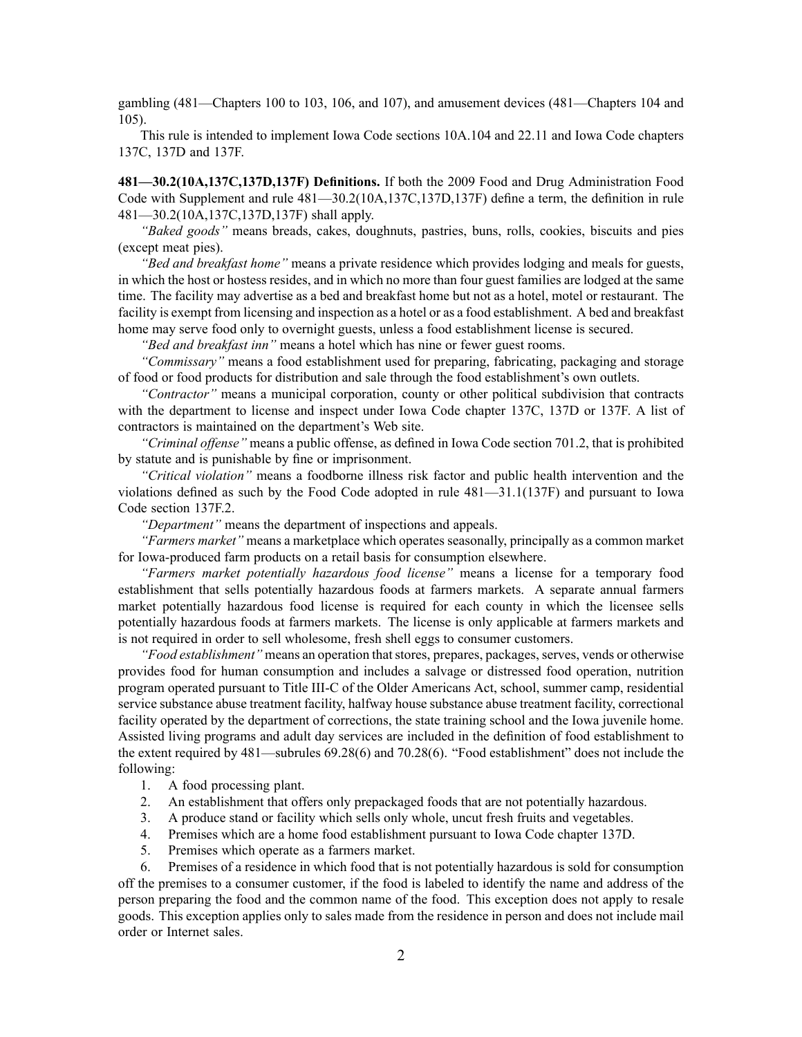gambling (481—Chapters 100 to 103, 106, and 107), and amusement devices (481—Chapters 104 and 105).

This rule is intended to implement Iowa Code sections 10A.104 and 22.11 and Iowa Code chapters 137C, 137D and 137F.

**481—30.2(10A,137C,137D,137F) Definitions.** If both the 2009 Food and Drug Administration Food Code with Supplement and rule 481—30.2(10A,137C,137D,137F) define <sup>a</sup> term, the definition in rule 481—30.2(10A,137C,137D,137F) shall apply.

*"Baked goods"* means breads, cakes, doughnuts, pastries, buns, rolls, cookies, biscuits and pies (except meat pies).

*"Bed and breakfast home"* means <sup>a</sup> private residence which provides lodging and meals for guests, in which the host or hostess resides, and in which no more than four gues<sup>t</sup> families are lodged at the same time. The facility may advertise as <sup>a</sup> bed and breakfast home but not as <sup>a</sup> hotel, motel or restaurant. The facility is exemp<sup>t</sup> from licensing and inspection as <sup>a</sup> hotel or as <sup>a</sup> food establishment. A bed and breakfast home may serve food only to overnight guests, unless <sup>a</sup> food establishment license is secured.

*"Bed and breakfast inn"* means <sup>a</sup> hotel which has nine or fewer gues<sup>t</sup> rooms.

*"Commissary"* means <sup>a</sup> food establishment used for preparing, fabricating, packaging and storage of food or food products for distribution and sale through the food establishment's own outlets.

*"Contractor"* means <sup>a</sup> municipal corporation, county or other political subdivision that contracts with the department to license and inspect under Iowa Code chapter 137C, 137D or 137F. A list of contractors is maintained on the department's Web site.

*"Criminal offense"* means <sup>a</sup> public offense, as defined in Iowa Code section 701.2, that is prohibited by statute and is punishable by fine or imprisonment.

*"Critical violation"* means <sup>a</sup> foodborne illness risk factor and public health intervention and the violations defined as such by the Food Code adopted in rule 481—31.1(137F) and pursuan<sup>t</sup> to Iowa Code section 137F.2.

*"Department"* means the department of inspections and appeals.

*"Farmers market"* means <sup>a</sup> marketplace which operates seasonally, principally as <sup>a</sup> common market for Iowa-produced farm products on <sup>a</sup> retail basis for consumption elsewhere.

*"Farmers market potentially hazardous food license"* means <sup>a</sup> license for <sup>a</sup> temporary food establishment that sells potentially hazardous foods at farmers markets. A separate annual farmers market potentially hazardous food license is required for each county in which the licensee sells potentially hazardous foods at farmers markets. The license is only applicable at farmers markets and is not required in order to sell wholesome, fresh shell eggs to consumer customers.

"Food establishment" means an operation that stores, prepares, packages, serves, vends or otherwise provides food for human consumption and includes <sup>a</sup> salvage or distressed food operation, nutrition program operated pursuan<sup>t</sup> to Title III-C of the Older Americans Act, school, summer camp, residential service substance abuse treatment facility, halfway house substance abuse treatment facility, correctional facility operated by the department of corrections, the state training school and the Iowa juvenile home. Assisted living programs and adult day services are included in the definition of food establishment to the extent required by 481—subrules 69.28(6) and 70.28(6). "Food establishment" does not include the following:

- 1. A food processing plant.
- 2. An establishment that offers only prepackaged foods that are not potentially hazardous.
- 3. A produce stand or facility which sells only whole, uncut fresh fruits and vegetables.
- 4. Premises which are <sup>a</sup> home food establishment pursuan<sup>t</sup> to Iowa Code chapter 137D.
- 5. Premises which operate as <sup>a</sup> farmers market.

6. Premises of <sup>a</sup> residence in which food that is not potentially hazardous is sold for consumption off the premises to <sup>a</sup> consumer customer, if the food is labeled to identify the name and address of the person preparing the food and the common name of the food. This exception does not apply to resale goods. This exception applies only to sales made from the residence in person and does not include mail order or Internet sales.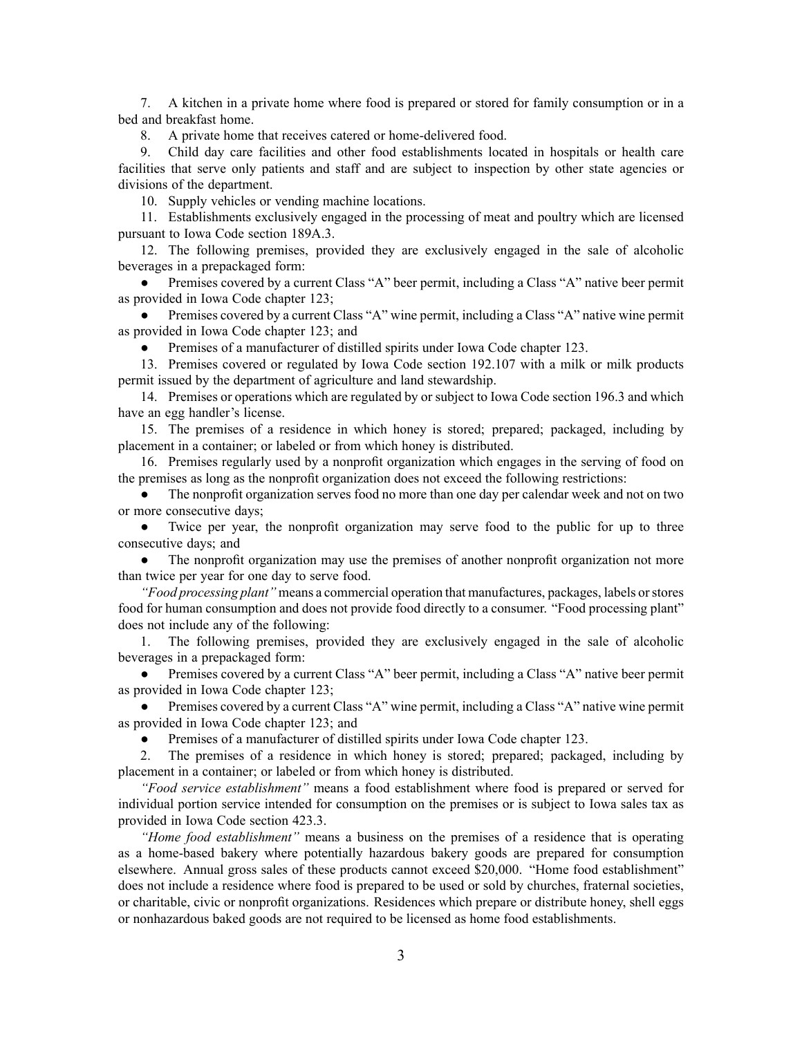7. A kitchen in <sup>a</sup> private home where food is prepared or stored for family consumption or in <sup>a</sup> bed and breakfast home.

8. A private home that receives catered or home-delivered food.

9. Child day care facilities and other food establishments located in hospitals or health care facilities that serve only patients and staff and are subject to inspection by other state agencies or divisions of the department.

10. Supply vehicles or vending machine locations.

11. Establishments exclusively engaged in the processing of meat and poultry which are licensed pursuan<sup>t</sup> to Iowa Code section 189A.3.

12. The following premises, provided they are exclusively engaged in the sale of alcoholic beverages in <sup>a</sup> prepackaged form:

● Premises covered by <sup>a</sup> current Class "A" beer permit, including <sup>a</sup> Class "A" native beer permit as provided in Iowa Code chapter 123;

● Premises covered by <sup>a</sup> current Class "A" wine permit, including <sup>a</sup> Class "A" native wine permit as provided in Iowa Code chapter 123; and

●Premises of <sup>a</sup> manufacturer of distilled spirits under Iowa Code chapter 123.

13. Premises covered or regulated by Iowa Code section 192.107 with <sup>a</sup> milk or milk products permit issued by the department of agriculture and land stewardship.

14. Premises or operations which are regulated by or subject to Iowa Code section 196.3 and which have an egg handler's license.

15. The premises of <sup>a</sup> residence in which honey is stored; prepared; packaged, including by placement in <sup>a</sup> container; or labeled or from which honey is distributed.

16. Premises regularly used by <sup>a</sup> nonprofit organization which engages in the serving of food on the premises as long as the nonprofit organization does not exceed the following restrictions:

 $\bullet$  The nonprofit organization serves food no more than one day per calendar week and not on two or more consecutive days;

● Twice per year, the nonprofit organization may serve food to the public for up to three consecutive days; and

● The nonprofit organization may use the premises of another nonprofit organization not more than twice per year for one day to serve food.

*"Food processing plant"* means <sup>a</sup> commercial operation that manufactures, packages, labels orstores food for human consumption and does not provide food directly to <sup>a</sup> consumer. "Food processing plant" does not include any of the following:

1. The following premises, provided they are exclusively engaged in the sale of alcoholic beverages in <sup>a</sup> prepackaged form:

● Premises covered by <sup>a</sup> current Class "A" beer permit, including <sup>a</sup> Class "A" native beer permit as provided in Iowa Code chapter 123;

● Premises covered by <sup>a</sup> current Class "A" wine permit, including <sup>a</sup> Class "A" native wine permit as provided in Iowa Code chapter 123; and

●Premises of <sup>a</sup> manufacturer of distilled spirits under Iowa Code chapter 123.

2. The premises of <sup>a</sup> residence in which honey is stored; prepared; packaged, including by placement in <sup>a</sup> container; or labeled or from which honey is distributed.

*"Food service establishment"* means <sup>a</sup> food establishment where food is prepared or served for individual portion service intended for consumption on the premises or is subject to Iowa sales tax as provided in Iowa Code section 423.3.

*"Home food establishment"* means <sup>a</sup> business on the premises of <sup>a</sup> residence that is operating as <sup>a</sup> home-based bakery where potentially hazardous bakery goods are prepared for consumption elsewhere. Annual gross sales of these products cannot exceed \$20,000. "Home food establishment" does not include <sup>a</sup> residence where food is prepared to be used or sold by churches, fraternal societies, or charitable, civic or nonprofit organizations. Residences which prepare or distribute honey, shell eggs or nonhazardous baked goods are not required to be licensed as home food establishments.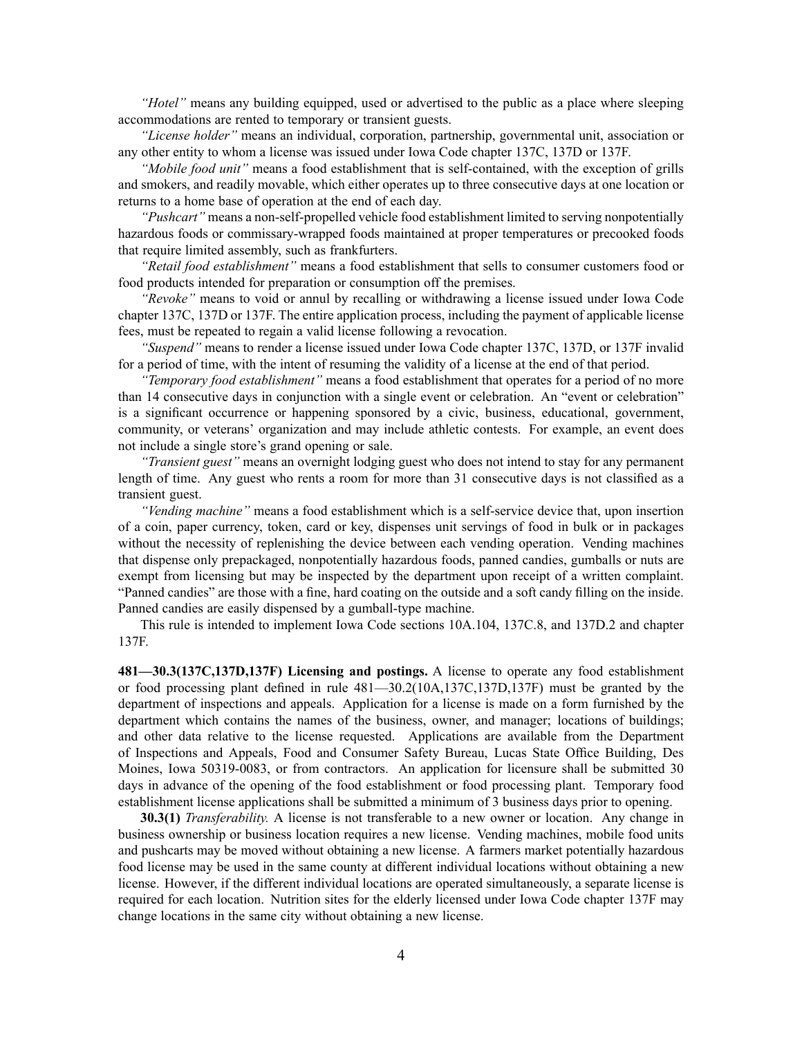*"Hotel"* means any building equipped, used or advertised to the public as <sup>a</sup> place where sleeping accommodations are rented to temporary or transient guests.

*"License holder"* means an individual, corporation, partnership, governmental unit, association or any other entity to whom <sup>a</sup> license was issued under Iowa Code chapter 137C, 137D or 137F.

*"Mobile food unit"* means <sup>a</sup> food establishment that is self-contained, with the exception of grills and smokers, and readily movable, which either operates up to three consecutive days at one location or returns to <sup>a</sup> home base of operation at the end of each day.

*"Pushcart"* means <sup>a</sup> non-self-propelled vehicle food establishment limited to serving nonpotentially hazardous foods or commissary-wrapped foods maintained at proper temperatures or precooked foods that require limited assembly, such as frankfurters.

*"Retail food establishment"* means <sup>a</sup> food establishment that sells to consumer customers food or food products intended for preparation or consumption off the premises.

*"Revoke"* means to void or annul by recalling or withdrawing <sup>a</sup> license issued under Iowa Code chapter 137C, 137D or 137F. The entire application process, including the paymen<sup>t</sup> of applicable license fees, must be repeated to regain <sup>a</sup> valid license following <sup>a</sup> revocation.

*"Suspend"* means to render <sup>a</sup> license issued under Iowa Code chapter 137C, 137D, or 137F invalid for <sup>a</sup> period of time, with the intent of resuming the validity of <sup>a</sup> license at the end of that period.

*"Temporary food establishment"* means <sup>a</sup> food establishment that operates for <sup>a</sup> period of no more than 14 consecutive days in conjunction with <sup>a</sup> single event or celebration. An "event or celebration" is <sup>a</sup> significant occurrence or happening sponsored by <sup>a</sup> civic, business, educational, government, community, or veterans' organization and may include athletic contests. For example, an event does not include <sup>a</sup> single store's grand opening or sale.

*"Transient guest"* means an overnight lodging gues<sup>t</sup> who does not intend to stay for any permanen<sup>t</sup> length of time. Any gues<sup>t</sup> who rents <sup>a</sup> room for more than 31 consecutive days is not classified as <sup>a</sup> transient guest.

*"Vending machine"* means <sup>a</sup> food establishment which is <sup>a</sup> self-service device that, upon insertion of <sup>a</sup> coin, paper currency, token, card or key, dispenses unit servings of food in bulk or in packages without the necessity of replenishing the device between each vending operation. Vending machines that dispense only prepackaged, nonpotentially hazardous foods, panned candies, gumballs or nuts are exemp<sup>t</sup> from licensing but may be inspected by the department upon receipt of <sup>a</sup> written complaint. "Panned candies" are those with <sup>a</sup> fine, hard coating on the outside and <sup>a</sup> soft candy filling on the inside. Panned candies are easily dispensed by <sup>a</sup> gumball-type machine.

This rule is intended to implement Iowa Code sections 10A.104, 137C.8, and 137D.2 and chapter 137F.

**481—30.3(137C,137D,137F) Licensing and postings.** A license to operate any food establishment or food processing plant defined in rule 481—30.2(10A,137C,137D,137F) must be granted by the department of inspections and appeals. Application for <sup>a</sup> license is made on <sup>a</sup> form furnished by the department which contains the names of the business, owner, and manager; locations of buildings; and other data relative to the license requested. Applications are available from the Department of Inspections and Appeals, Food and Consumer Safety Bureau, Lucas State Office Building, Des Moines, Iowa 50319-0083, or from contractors. An application for licensure shall be submitted 30 days in advance of the opening of the food establishment or food processing plant. Temporary food establishment license applications shall be submitted <sup>a</sup> minimum of 3 business days prior to opening.

**30.3(1)** *Transferability.* A license is not transferable to <sup>a</sup> new owner or location. Any change in business ownership or business location requires <sup>a</sup> new license. Vending machines, mobile food units and pushcarts may be moved without obtaining <sup>a</sup> new license. A farmers market potentially hazardous food license may be used in the same county at different individual locations without obtaining <sup>a</sup> new license. However, if the different individual locations are operated simultaneously, <sup>a</sup> separate license is required for each location. Nutrition sites for the elderly licensed under Iowa Code chapter 137F may change locations in the same city without obtaining <sup>a</sup> new license.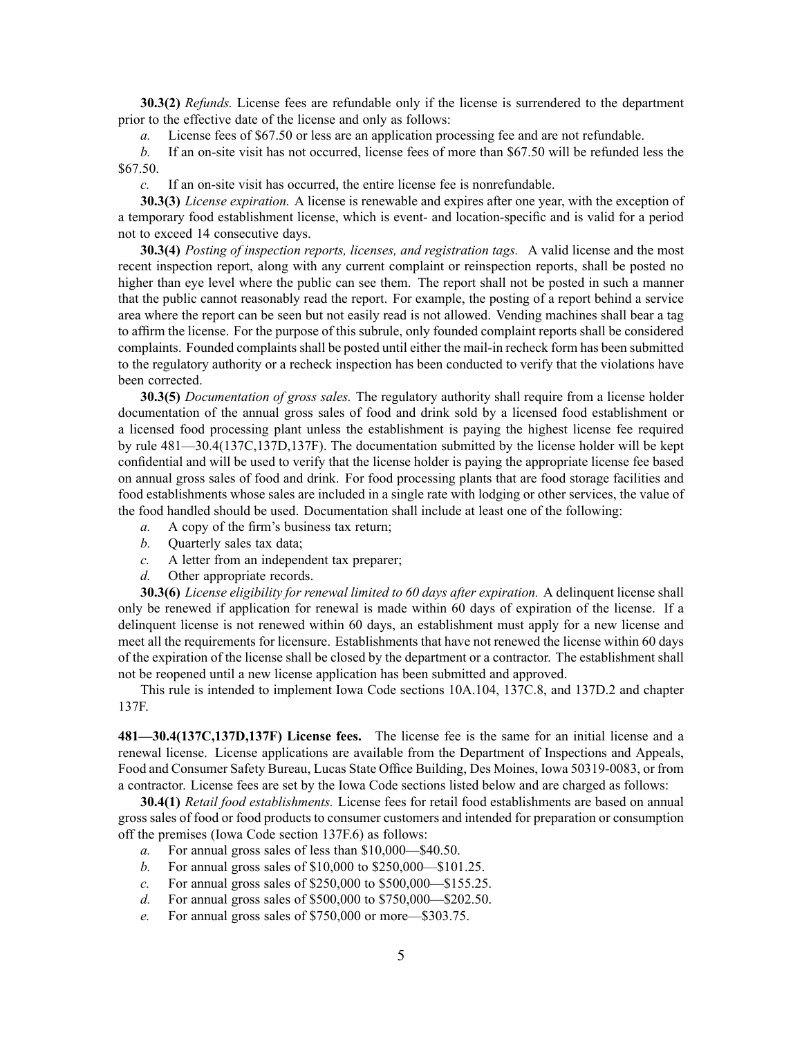**30.3(2)** *Refunds.* License fees are refundable only if the license is surrendered to the department prior to the effective date of the license and only as follows:

*a.* License fees of \$67.50 or less are an application processing fee and are not refundable.

*b.* If an on-site visit has not occurred, license fees of more than \$67.50 will be refunded less the \$67.50.

*c.* If an on-site visit has occurred, the entire license fee is nonrefundable.

**30.3(3)** *License expiration.* A license is renewable and expires after one year, with the exception of <sup>a</sup> temporary food establishment license, which is event- and location-specific and is valid for <sup>a</sup> period not to exceed 14 consecutive days.

**30.3(4)** *Posting of inspection reports, licenses, and registration tags.* A valid license and the most recent inspection report, along with any current complaint or reinspection reports, shall be posted no higher than eye level where the public can see them. The report shall not be posted in such a manner that the public cannot reasonably read the report. For example, the posting of <sup>a</sup> repor<sup>t</sup> behind <sup>a</sup> service area where the repor<sup>t</sup> can be seen but not easily read is not allowed. Vending machines shall bear <sup>a</sup> tag to affirm the license. For the purpose of this subrule, only founded complaint reports shall be considered complaints. Founded complaints shall be posted until either the mail-in recheck form has been submitted to the regulatory authority or <sup>a</sup> recheck inspection has been conducted to verify that the violations have been corrected.

**30.3(5)** *Documentation of gross sales.* The regulatory authority shall require from <sup>a</sup> license holder documentation of the annual gross sales of food and drink sold by <sup>a</sup> licensed food establishment or <sup>a</sup> licensed food processing plant unless the establishment is paying the highest license fee required by rule 481—30.4(137C,137D,137F). The documentation submitted by the license holder will be kept confidential and will be used to verify that the license holder is paying the appropriate license fee based on annual gross sales of food and drink. For food processing plants that are food storage facilities and food establishments whose sales are included in <sup>a</sup> single rate with lodging or other services, the value of the food handled should be used. Documentation shall include at least one of the following:

- *a.* A copy of the firm's business tax return;
- *b.* Quarterly sales tax data;
- *c.* A letter from an independent tax preparer;
- *d.* Other appropriate records.

**30.3(6)** *License eligibility for renewal limited to 60 days after expiration.* A delinquent license shall only be renewed if application for renewal is made within 60 days of expiration of the license. If <sup>a</sup> delinquent license is not renewed within 60 days, an establishment must apply for <sup>a</sup> new license and meet all the requirements for licensure. Establishments that have not renewed the license within 60 days of the expiration of the license shall be closed by the department or <sup>a</sup> contractor. The establishment shall not be reopened until <sup>a</sup> new license application has been submitted and approved.

This rule is intended to implement Iowa Code sections 10A.104, 137C.8, and 137D.2 and chapter 137F.

**481—30.4(137C,137D,137F) License fees.** The license fee is the same for an initial license and <sup>a</sup> renewal license. License applications are available from the Department of Inspections and Appeals, Food and Consumer Safety Bureau, Lucas State Office Building, Des Moines, Iowa 50319-0083, or from <sup>a</sup> contractor. License fees are set by the Iowa Code sections listed below and are charged as follows:

**30.4(1)** *Retail food establishments.* License fees for retail food establishments are based on annual gross sales of food or food products to consumer customers and intended for preparation or consumption off the premises (Iowa Code section 137F.6) as follows:

- *a.* For annual gross sales of less than \$10,000—\$40.50.
- *b.* For annual gross sales of \$10,000 to \$250,000—\$101.25.
- *c.* For annual gross sales of \$250,000 to \$500,000—\$155.25.
- *d.* For annual gross sales of \$500,000 to \$750,000—\$202.50.
- *e.* For annual gross sales of \$750,000 or more—\$303.75.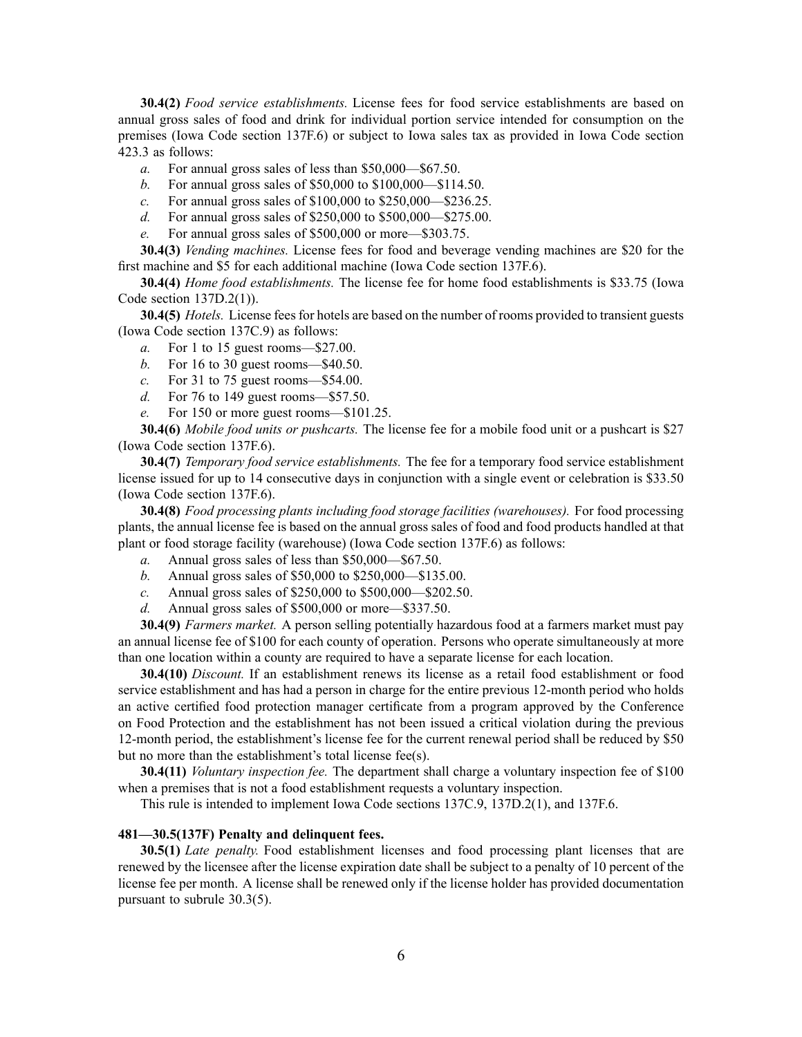**30.4(2)** *Food service establishments.* License fees for food service establishments are based on annual gross sales of food and drink for individual portion service intended for consumption on the premises (Iowa Code section 137F.6) or subject to Iowa sales tax as provided in Iowa Code section 423.3 as follows:

- *a.* For annual gross sales of less than \$50,000—\$67.50.
- *b.* For annual gross sales of \$50,000 to \$100,000—\$114.50.
- *c.* For annual gross sales of \$100,000 to \$250,000—\$236.25.
- *d.* For annual gross sales of \$250,000 to \$500,000—\$275.00.
- *e.* For annual gross sales of \$500,000 or more—\$303.75.

**30.4(3)** *Vending machines.* License fees for food and beverage vending machines are \$20 for the first machine and \$5 for each additional machine (Iowa Code section 137F.6).

**30.4(4)** *Home food establishments.* The license fee for home food establishments is \$33.75 (Iowa Code section 137D.2(1)).

**30.4(5)** *Hotels*. License fees for hotels are based on the number of rooms provided to transient guests (Iowa Code section 137C.9) as follows:

- *a.* For 1 to 15 gues<sup>t</sup> rooms—\$27.00.
- *b.* For 16 to 30 gues<sup>t</sup> rooms—\$40.50.
- *c.* For 31 to 75 gues<sup>t</sup> rooms—\$54.00.
- *d.* For 76 to 149 gues<sup>t</sup> rooms—\$57.50.
- *e.* For 150 or more gues<sup>t</sup> rooms—\$101.25.

**30.4(6)** *Mobile food units or pushcarts.* The license fee for <sup>a</sup> mobile food unit or <sup>a</sup> pushcart is \$27 (Iowa Code section 137F.6).

**30.4(7)** *Temporary food service establishments.* The fee for <sup>a</sup> temporary food service establishment license issued for up to 14 consecutive days in conjunction with <sup>a</sup> single event or celebration is \$33.50 (Iowa Code section 137F.6).

**30.4(8)** *Food processing plants including food storage facilities (warehouses).* For food processing plants, the annual license fee is based on the annual gross sales of food and food products handled at that plant or food storage facility (warehouse) (Iowa Code section 137F.6) as follows:

- *a.* Annual gross sales of less than \$50,000—\$67.50.
- *b.* Annual gross sales of \$50,000 to \$250,000—\$135.00.
- *c.* Annual gross sales of \$250,000 to \$500,000—\$202.50.
- *d.* Annual gross sales of \$500,000 or more—\$337.50.

**30.4(9)** *Farmers market.* A person selling potentially hazardous food at <sup>a</sup> farmers market must pay an annual license fee of \$100 for each county of operation. Persons who operate simultaneously at more than one location within <sup>a</sup> county are required to have <sup>a</sup> separate license for each location.

**30.4(10)** *Discount.* If an establishment renews its license as <sup>a</sup> retail food establishment or food service establishment and has had <sup>a</sup> person in charge for the entire previous 12-month period who holds an active certified food protection manager certificate from <sup>a</sup> program approved by the Conference on Food Protection and the establishment has not been issued <sup>a</sup> critical violation during the previous 12-month period, the establishment's license fee for the current renewal period shall be reduced by \$50 but no more than the establishment's total license fee(s).

**30.4(11)** *Voluntary inspection fee.* The department shall charge <sup>a</sup> voluntary inspection fee of \$100 when <sup>a</sup> premises that is not <sup>a</sup> food establishment requests <sup>a</sup> voluntary inspection.

This rule is intended to implement Iowa Code sections 137C.9, 137D.2(1), and 137F.6.

## **481—30.5(137F) Penalty and delinquent fees.**

**30.5(1)** *Late penalty.* Food establishment licenses and food processing plant licenses that are renewed by the licensee after the license expiration date shall be subject to <sup>a</sup> penalty of 10 percen<sup>t</sup> of the license fee per month. A license shall be renewed only if the license holder has provided documentation pursuan<sup>t</sup> to subrule 30.3(5).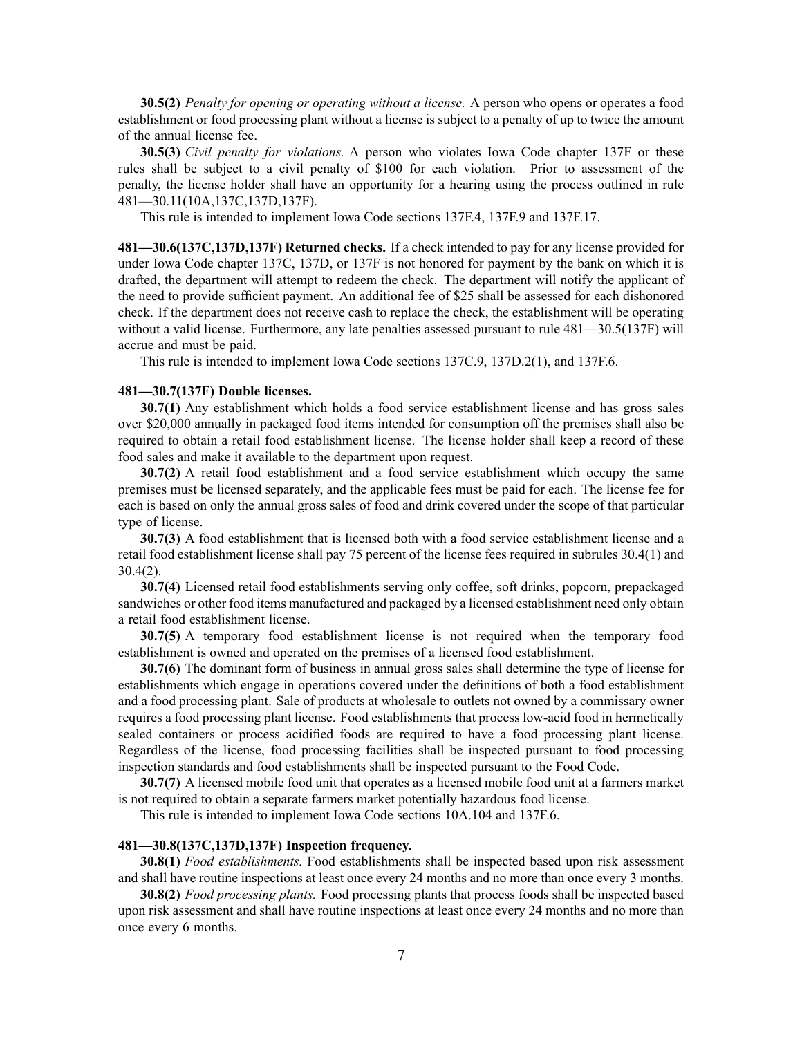**30.5(2)** *Penalty for opening or operating without <sup>a</sup> license.* A person who opens or operates <sup>a</sup> food establishment or food processing plant without <sup>a</sup> license is subject to <sup>a</sup> penalty of up to twice the amount of the annual license fee.

**30.5(3)** *Civil penalty for violations.* A person who violates Iowa Code chapter 137F or these rules shall be subject to <sup>a</sup> civil penalty of \$100 for each violation. Prior to assessment of the penalty, the license holder shall have an opportunity for <sup>a</sup> hearing using the process outlined in rule 481—30.11(10A,137C,137D,137F).

This rule is intended to implement Iowa Code sections 137F.4, 137F.9 and 137F.17.

**481—30.6(137C,137D,137F) Returned checks.** If <sup>a</sup> check intended to pay for any license provided for under Iowa Code chapter 137C, 137D, or 137F is not honored for paymen<sup>t</sup> by the bank on which it is drafted, the department will attempt to redeem the check. The department will notify the applicant of the need to provide sufficient payment. An additional fee of \$25 shall be assessed for each dishonored check. If the department does not receive cash to replace the check, the establishment will be operating without <sup>a</sup> valid license. Furthermore, any late penalties assessed pursuan<sup>t</sup> to rule 481—30.5(137F) will accrue and must be paid.

This rule is intended to implement Iowa Code sections 137C.9, 137D.2(1), and 137F.6.

## **481—30.7(137F) Double licenses.**

**30.7(1)** Any establishment which holds <sup>a</sup> food service establishment license and has gross sales over \$20,000 annually in packaged food items intended for consumption off the premises shall also be required to obtain <sup>a</sup> retail food establishment license. The license holder shall keep <sup>a</sup> record of these food sales and make it available to the department upon request.

**30.7(2)** A retail food establishment and <sup>a</sup> food service establishment which occupy the same premises must be licensed separately, and the applicable fees must be paid for each. The license fee for each is based on only the annual gross sales of food and drink covered under the scope of that particular type of license.

**30.7(3)** A food establishment that is licensed both with <sup>a</sup> food service establishment license and <sup>a</sup> retail food establishment license shall pay 75 percen<sup>t</sup> of the license fees required in subrules 30.4(1) and 30.4(2).

**30.7(4)** Licensed retail food establishments serving only coffee, soft drinks, popcorn, prepackaged sandwiches or other food items manufactured and packaged by <sup>a</sup> licensed establishment need only obtain <sup>a</sup> retail food establishment license.

**30.7(5)** A temporary food establishment license is not required when the temporary food establishment is owned and operated on the premises of <sup>a</sup> licensed food establishment.

**30.7(6)** The dominant form of business in annual gross sales shall determine the type of license for establishments which engage in operations covered under the definitions of both <sup>a</sup> food establishment and <sup>a</sup> food processing plant. Sale of products at wholesale to outlets not owned by <sup>a</sup> commissary owner requires <sup>a</sup> food processing plant license. Food establishments that process low-acid food in hermetically sealed containers or process acidified foods are required to have <sup>a</sup> food processing plant license. Regardless of the license, food processing facilities shall be inspected pursuan<sup>t</sup> to food processing inspection standards and food establishments shall be inspected pursuan<sup>t</sup> to the Food Code.

**30.7(7)** A licensed mobile food unit that operates as <sup>a</sup> licensed mobile food unit at <sup>a</sup> farmers market is not required to obtain <sup>a</sup> separate farmers market potentially hazardous food license.

This rule is intended to implement Iowa Code sections 10A.104 and 137F.6.

### **481—30.8(137C,137D,137F) Inspection frequency.**

**30.8(1)** *Food establishments.* Food establishments shall be inspected based upon risk assessment and shall have routine inspections at least once every 24 months and no more than once every 3 months.

**30.8(2)** *Food processing plants.* Food processing plants that process foods shall be inspected based upon risk assessment and shall have routine inspections at least once every 24 months and no more than once every 6 months.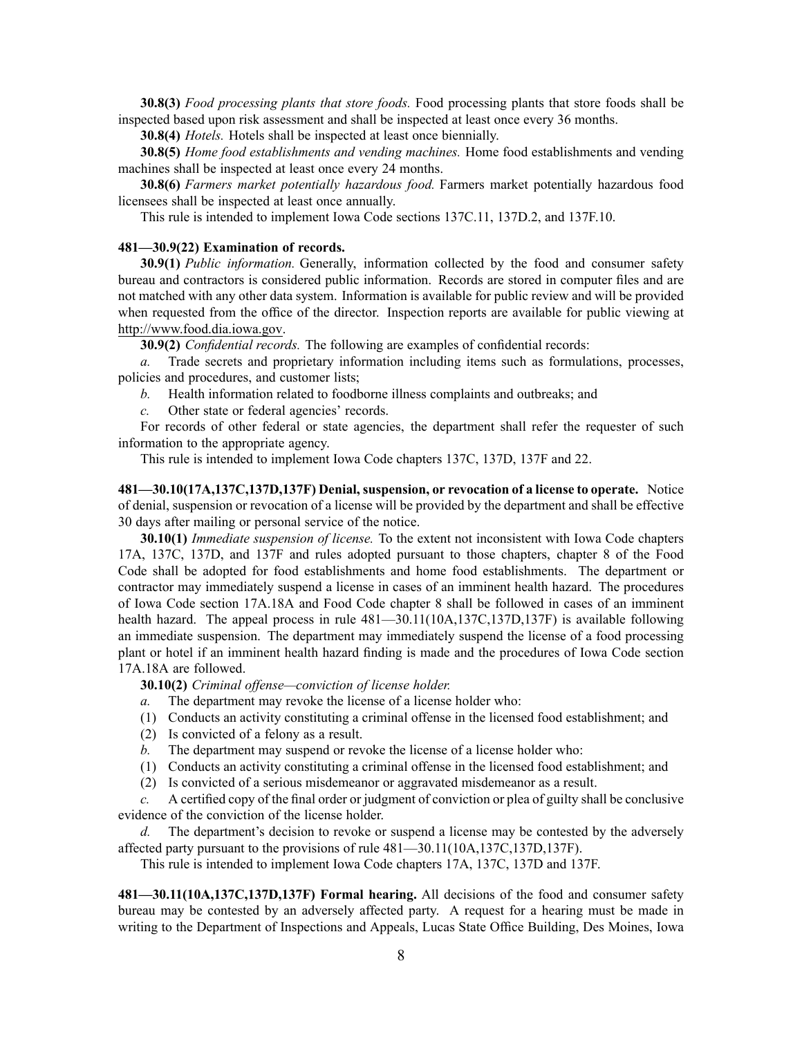**30.8(3)** *Food processing plants that store foods.* Food processing plants that store foods shall be inspected based upon risk assessment and shall be inspected at least once every 36 months.

**30.8(4)** *Hotels.* Hotels shall be inspected at least once biennially.

**30.8(5)** *Home food establishments and vending machines.* Home food establishments and vending machines shall be inspected at least once every 24 months.

**30.8(6)** *Farmers market potentially hazardous food.* Farmers market potentially hazardous food licensees shall be inspected at least once annually.

This rule is intended to implement Iowa Code sections 137C.11, 137D.2, and 137F.10.

# **481—30.9(22) Examination of records.**

**30.9(1)** *Public information.* Generally, information collected by the food and consumer safety bureau and contractors is considered public information. Records are stored in computer files and are not matched with any other data system. Information is available for public review and will be provided when requested from the office of the director. Inspection reports are available for public viewing at http://www.food.dia.iowa.gov.

**30.9(2)** *Confidential records.* The following are examples of confidential records:

*a.* Trade secrets and proprietary information including items such as formulations, processes, policies and procedures, and customer lists;

*b.* Health information related to foodborne illness complaints and outbreaks; and

*c.* Other state or federal agencies' records.

For records of other federal or state agencies, the department shall refer the requester of such information to the appropriate agency.

This rule is intended to implement Iowa Code chapters 137C, 137D, 137F and 22.

**481—30.10(17A,137C,137D,137F) Denial, suspension, or revocation of <sup>a</sup> license to operate.** Notice of denial, suspension or revocation of <sup>a</sup> license will be provided by the department and shall be effective 30 days after mailing or personal service of the notice.

**30.10(1)** *Immediate suspension of license.* To the extent not inconsistent with Iowa Code chapters 17A, 137C, 137D, and 137F and rules adopted pursuan<sup>t</sup> to those chapters, chapter 8 of the Food Code shall be adopted for food establishments and home food establishments. The department or contractor may immediately suspend <sup>a</sup> license in cases of an imminent health hazard. The procedures of Iowa Code section 17A.18A and Food Code chapter 8 shall be followed in cases of an imminent health hazard. The appeal process in rule  $481-30.11(10A,137C,137D,137F)$  is available following an immediate suspension. The department may immediately suspend the license of <sup>a</sup> food processing plant or hotel if an imminent health hazard finding is made and the procedures of Iowa Code section 17A.18A are followed.

**30.10(2)** *Criminal offense—conviction of license holder.*

- *a.* The department may revoke the license of <sup>a</sup> license holder who:
- (1) Conducts an activity constituting <sup>a</sup> criminal offense in the licensed food establishment; and
- (2) Is convicted of <sup>a</sup> felony as <sup>a</sup> result.
- *b.* The department may suspend or revoke the license of <sup>a</sup> license holder who:
- (1) Conducts an activity constituting <sup>a</sup> criminal offense in the licensed food establishment; and
- (2) Is convicted of <sup>a</sup> serious misdemeanor or aggravated misdemeanor as <sup>a</sup> result.

*c.* A certified copy of the final order or judgment of conviction or plea of guilty shall be conclusive evidence of the conviction of the license holder.

*d.* The department's decision to revoke or suspend <sup>a</sup> license may be contested by the adversely affected party pursuan<sup>t</sup> to the provisions of rule 481—30.11(10A,137C,137D,137F).

This rule is intended to implement Iowa Code chapters 17A, 137C, 137D and 137F.

**481—30.11(10A,137C,137D,137F) Formal hearing.** All decisions of the food and consumer safety bureau may be contested by an adversely affected party. A reques<sup>t</sup> for <sup>a</sup> hearing must be made in writing to the Department of Inspections and Appeals, Lucas State Office Building, Des Moines, Iowa